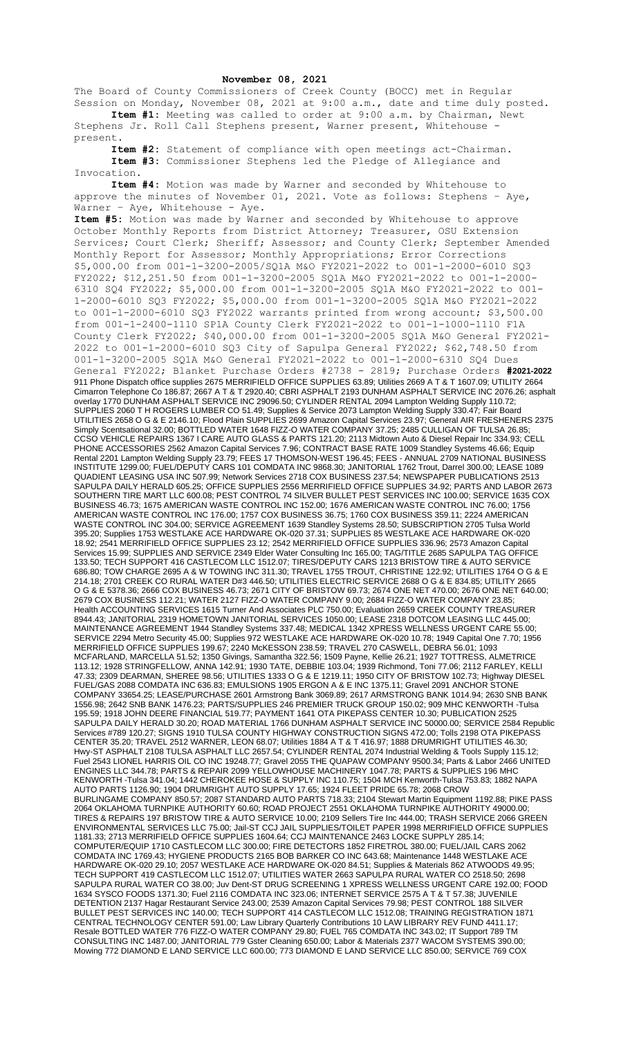## **November 08, 2021**

The Board of County Commissioners of Creek County (BOCC) met in Regular Session on Monday, November 08, 2021 at 9:00 a.m., date and time duly posted. **Item #1:** Meeting was called to order at 9:00 a.m. by Chairman, Newt

Stephens Jr. Roll Call Stephens present, Warner present, Whitehouse present.

**Item #2:** Statement of compliance with open meetings act-Chairman. **Item #3:** Commissioner Stephens led the Pledge of Allegiance and Invocation.

**Item #4:** Motion was made by Warner and seconded by Whitehouse to approve the minutes of November 01, 2021. Vote as follows: Stephens – Aye, Warner - Aye, Whitehouse - Aye.

**Item #5:** Motion was made by Warner and seconded by Whitehouse to approve October Monthly Reports from District Attorney; Treasurer, OSU Extension Services; Court Clerk; Sheriff; Assessor; and County Clerk; September Amended Monthly Report for Assessor; Monthly Appropriations; Error Corrections \$5,000.00 from 001-1-3200-2005/SQ1A M&O FY2021-2022 to 001-1-2000-6010 SQ3 FY2022; \$12,251.50 from 001-1-3200-2005 SQ1A M&O FY2021-2022 to 001-1-2000- 6310 SQ4 FY2022; \$5,000.00 from 001-1-3200-2005 SQ1A M&O FY2021-2022 to 001- 1-2000-6010 SQ3 FY2022; \$5,000.00 from 001-1-3200-2005 SQ1A M&O FY2021-2022 to 001-1-2000-6010 SQ3 FY2022 warrants printed from wrong account; \$3,500.00 from 001-1-2400-1110 SP1A County Clerk FY2021-2022 to 001-1-1000-1110 F1A County Clerk FY2022; \$40,000.00 from 001-1-3200-2005 SQ1A M&O General FY2021- 2022 to 001-1-2000-6010 SQ3 City of Sapulpa General FY2022; \$62,748.50 from 001-1-3200-2005 SQ1A M&O General FY2021-2022 to 001-1-2000-6310 SQ4 Dues General FY2022; Blanket Purchase Orders #2738 - 2819; Purchase Orders **#2021-2022** 911 Phone Dispatch office supplies 2675 MERRIFIELD OFFICE SUPPLIES 63.89; Utilities 2669 A T & T 1607.09; UTILITY 2664 Cimarron Telephone Co 186.87; 2667 A T & T 2920.40; CBRI ASPHALT 2193 DUNHAM ASPHALT SERVICE INC 2076.26; asphalt overlay 1770 DUNHAM ASPHALT SERVICE INC 29096.50; CYLINDER RENTAL 2094 Lampton Welding Supply 110.72; SUPPLIES 2060 T H ROGERS LUMBER CO 51.49; Supplies & Service 2073 Lampton Welding Supply 330.47; Fair Board UTILITIES 2658 O G & E 2146.10; Flood Plain SUPPLIES 2699 Amazon Capital Services 23.97; General AIR FRESHENERS 2375 Simply Scentsational 32.00; BOTTLED WATER 1648 FIZZ-O WATER COMPANY 37.25; 2485 CULLIGAN OF TULSA 26.85; CCSO VEHICLE REPAIRS 1367 I CARE AUTO GLASS & PARTS 121.20; 2113 Midtown Auto & Diesel Repair Inc 334.93; CELL PHONE ACCESSORIES 2562 Amazon Capital Services 7.96; CONTRACT BASE RATE 1009 Standley Systems 46.66; Equip Rental 2201 Lampton Welding Supply 23.79; FEES 17 THOMSON-WEST 196.45; FEES - ANNUAL 2709 NATIONAL BUSINESS INSTITUTE 1299.00; FUEL/DEPUTY CARS 101 COMDATA INC 9868.30; JANITORIAL 1762 Trout, Darrel 300.00; LEASE 1089 QUADIENT LEASING USA INC 507.99; Network Services 2718 COX BUSINESS 237.54; NEWSPAPER PUBLICATIONS 2513 SAPULPA DAILY HERALD 605.25; OFFICE SUPPLIES 2556 MERRIFIELD OFFICE SUPPLIES 34.92; PARTS AND LABOR 2673 SOUTHERN TIRE MART LLC 600.08; PEST CONTROL 74 SILVER BULLET PEST SERVICES INC 100.00; SERVICE 1635 COX BUSINESS 46.73; 1675 AMERICAN WASTE CONTROL INC 152.00; 1676 AMERICAN WASTE CONTROL INC 76.00; 1756 AMERICAN WASTE CONTROL INC 176.00; 1757 COX BUSINESS 36.75; 1760 COX BUSINESS 359.11; 2224 AMERICAN WASTE CONTROL INC 304.00; SERVICE AGREEMENT 1639 Standley Systems 28.50; SUBSCRIPTION 2705 Tulsa World 395.20; Supplies 1753 WESTLAKE ACE HARDWARE OK-020 37.31; SUPPLIES 85 WESTLAKE ACE HARDWARE OK-020 18.92; 2541 MERRIFIELD OFFICE SUPPLIES 23.12; 2542 MERRIFIELD OFFICE SUPPLIES 336.96; 2573 Amazon Capital Services 15.99; SUPPLIES AND SERVICE 2349 Elder Water Consulting Inc 165.00; TAG/TITLE 2685 SAPULPA TAG OFFICE 133.50; TECH SUPPORT 416 CASTLECOM LLC 1512.07; TIRES/DEPUTY CARS 1213 BRISTOW TIRE & AUTO SERVICE 686.80; TOW CHARGE 2695 A & W TOWING INC 311.30; TRAVEL 1755 TROUT, CHRISTINE 122.92; UTILITIES 1764 O G & E 214.18; 2701 CREEK CO RURAL WATER D#3 446.50; UTILITIES ELECTRIC SERVICE 2688 O G & E 834.85; UTILITY 2665 O G & E 5378.36; 2666 COX BUSINESS 46.73; 2671 CITY OF BRISTOW 69.73; 2674 ONE NET 470.00; 2676 ONE NET 640.00; 2679 COX BUSINESS 112.21; WATER 2127 FIZZ-O WATER COMPANY 9.00; 2684 FIZZ-O WATER COMPANY 23.85; Health ACCOUNTING SERVICES 1615 Turner And Associates PLC 750.00; Evaluation 2659 CREEK COUNTY TREASURER 8944.43; JANITORIAL 2319 HOMETOWN JANITORIAL SERVICES 1050.00; LEASE 2318 DOTCOM LEASING LLC 445.00; MAINTENANCE AGREEMENT 1944 Standley Systems 337.48; MEDICAL 1342 XPRESS WELLNESS URGENT CARE 55.00; SERVICE 2294 Metro Security 45.00; Supplies 972 WESTLAKE ACE HARDWARE OK-020 10.78; 1949 Capital One 7.70; 1956 MERRIFIELD OFFICE SUPPLIES 199.67; 2240 McKESSON 238.59; TRAVEL 270 CASWELL, DEBRA 56.01; 1093 MCFARLAND, MARCELLA 51.52; 1350 Givings, Samantha 322.56; 1509 Payne, Kellie 26.21; 1927 TOTTRESS, ALMETRICE 113.12; 1928 STRINGFELLOW, ANNA 142.91; 1930 TATE, DEBBIE 103.04; 1939 Richmond, Toni 77.06; 2112 FARLEY, KELLI 47.33; 2309 DEARMAN, SHEREE 98.56; UTILITIES 1333 O G & E 1219.11; 1950 CITY OF BRISTOW 102.73; Highway DIESEL FUEL/GAS 2088 COMDATA INC 636.83; EMULSIONS 1905 ERGON A & E INC 1375.11; Gravel 2091 ANCHOR STONE COMPANY 33654.25; LEASE/PURCHASE 2601 Armstrong Bank 3069.89; 2617 ARMSTRONG BANK 1014.94; 2630 SNB BANK 1556.98; 2642 SNB BANK 1476.23; PARTS/SUPPLIES 246 PREMIER TRUCK GROUP 150.02; 909 MHC KENWORTH -Tulsa 195.59; 1918 JOHN DEERE FINANCIAL 519.77; PAYMENT 1641 OTA PIKEPASS CENTER 10.30; PUBLICATION 2525 SAPULPA DAILY HERALD 30.20; ROAD MATERIAL 1766 DUNHAM ASPHALT SERVICE INC 50000.00; SERVICE 2584 Republic Services #789 120.27; SIGNS 1910 TULSA COUNTY HIGHWAY CONSTRUCTION SIGNS 472.00; Tolls 2198 OTA PIKEPASS CENTER 35.20; TRAVEL 2512 WARNER, LEON 68.07; Utilities 1884 A T & T 416.97; 1888 DRUMRIGHT UTILITIES 46.30; Hwy-ST ASPHALT 2108 TULSA ASPHALT LLC 2657.54; CYLINDER RENTAL 2074 Industrial Welding & Tools Supply 115.12; Fuel 2543 LIONEL HARRIS OIL CO INC 19248.77; Gravel 2055 THE QUAPAW COMPANY 9500.34; Parts & Labor 2466 UNITED ENGINES LLC 344.78; PARTS & REPAIR 2099 YELLOWHOUSE MACHINERY 1047.78; PARTS & SUPPLIES 196 MHC KENWORTH -Tulsa 341.04; 1442 CHEROKEE HOSE & SUPPLY INC 110.75; 1504 MCH Kenworth-Tulsa 753.83; 1882 NAPA AUTO PARTS 1126.90; 1904 DRUMRIGHT AUTO SUPPLY 17.65; 1924 FLEET PRIDE 65.78; 2068 CROW BURLINGAME COMPANY 850.57; 2087 STANDARD AUTO PARTS 718.33; 2104 Stewart Martin Equipment 1192.88; PIKE PASS 2064 OKLAHOMA TURNPIKE AUTHORITY 60.60; ROAD PROJECT 2551 OKLAHOMA TURNPIKE AUTHORITY 49000.00; TIRES & REPAIRS 197 BRISTOW TIRE & AUTO SERVICE 10.00; 2109 Sellers Tire Inc 444.00; TRASH SERVICE 2066 GREEN ENVIRONMENTAL SERVICES LLC 75.00; Jail-ST CCJ JAIL SUPPLIES/TOILET PAPER 1998 MERRIFIELD OFFICE SUPPLIES 1181.33; 2713 MERRIFIELD OFFICE SUPPLIES 1604.64; CCJ MAINTENANCE 2463 LOCKE SUPPLY 285.14; COMPUTER/EQUIP 1710 CASTLECOM LLC 300.00; FIRE DETECTORS 1852 FIRETROL 380.00; FUEL/JAIL CARS 2062 COMDATA INC 1769.43; HYGIENE PRODUCTS 2165 BOB BARKER CO INC 643.68; Maintenance 1448 WESTLAKE ACE HARDWARE OK-020 29.10; 2057 WESTLAKE ACE HARDWARE OK-020 84.51; Supplies & Materials 862 ATWOODS 49.95; TECH SUPPORT 419 CASTLECOM LLC 1512.07; UTILITIES WATER 2663 SAPULPA RURAL WATER CO 2518.50; 2698 SAPULPA RURAL WATER CO 38.00; Juv Dent-ST DRUG SCREENING 1 XPRESS WELLNESS URGENT CARE 192.00; FOOD 1634 SYSCO FOODS 1371.30; Fuel 2116 COMDATA INC 323.06; INTERNET SERVICE 2575 A T & T 57.38; JUVENILE DETENTION 2137 Hagar Restaurant Service 243.00; 2539 Amazon Capital Services 79.98; PEST CONTROL 188 SILVER BULLET PEST SERVICES INC 140.00; TECH SUPPORT 414 CASTLECOM LLC 1512.08; TRAINING REGISTRATION 1871 CENTRAL TECHNOLOGY CENTER 591.00; Law Library Quarterly Contributions 10 LAW LIBRARY REV FUND 4411.17; Resale BOTTLED WATER 776 FIZZ-O WATER COMPANY 29.80; FUEL 765 COMDATA INC 343.02; IT Support 789 TM CONSULTING INC 1487.00; JANITORIAL 779 Gster Cleaning 650.00; Labor & Materials 2377 WACOM SYSTEMS 390.00; Mowing 772 DIAMOND E LAND SERVICE LLC 600.00; 773 DIAMOND E LAND SERVICE LLC 850.00; SERVICE 769 COX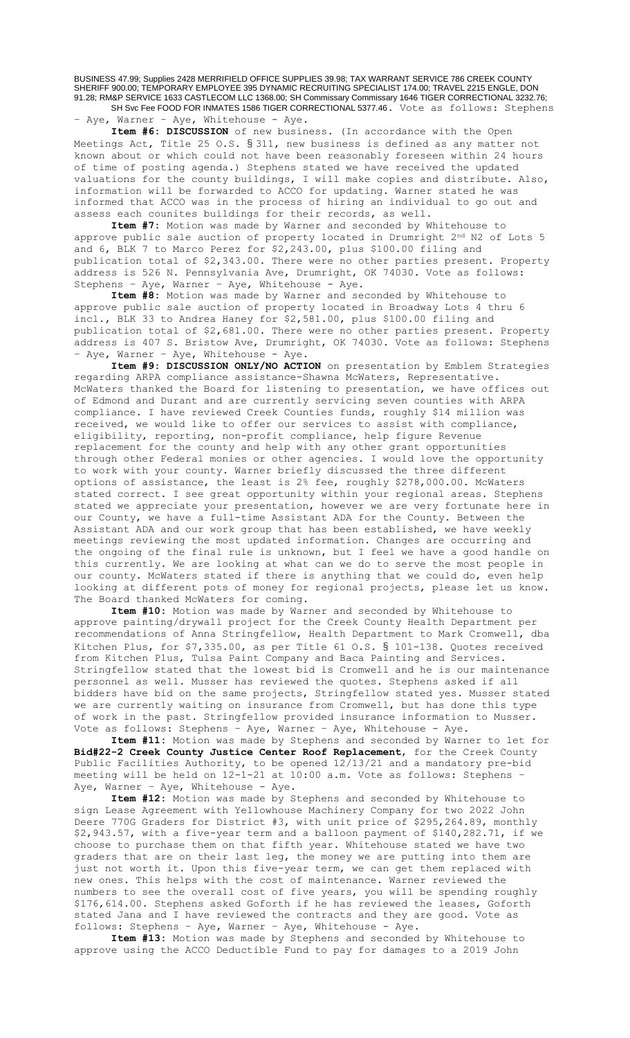BUSINESS 47.99; Supplies 2428 MERRIFIELD OFFICE SUPPLIES 39.98; TAX WARRANT SERVICE 786 CREEK COUNTY SHERIFF 900.00; TEMPORARY EMPLOYEE 395 DYNAMIC RECRUITING SPECIALIST 174.00; TRAVEL 2215 ENGLE, DON 91.28; RM&P SERVICE 1633 CASTLECOM LLC 1368.00; SH Commissary Commissary 1646 TIGER CORRECTIONAL 3232.76; SH Svc Fee FOOD FOR INMATES 1586 TIGER CORRECTIONAL 5377.46. Vote as follows: Stephens

– Aye, Warner – Aye, Whitehouse - Aye.

**Item #6: DISCUSSION** of new business. (In accordance with the Open Meetings Act, Title 25 O.S. § 311, new business is defined as any matter not known about or which could not have been reasonably foreseen within 24 hours of time of posting agenda.) Stephens stated we have received the updated valuations for the county buildings, I will make copies and distribute. Also, information will be forwarded to ACCO for updating. Warner stated he was informed that ACCO was in the process of hiring an individual to go out and assess each counites buildings for their records, as well.

**Item #7:** Motion was made by Warner and seconded by Whitehouse to approve public sale auction of property located in Drumright 2<sup>nd</sup> N2 of Lots 5 and 6, BLK 7 to Marco Perez for \$2,243.00, plus \$100.00 filing and publication total of \$2,343.00. There were no other parties present. Property address is 526 N. Pennsylvania Ave, Drumright, OK 74030. Vote as follows: Stephens – Aye, Warner – Aye, Whitehouse - Aye.

**Item #8:** Motion was made by Warner and seconded by Whitehouse to approve public sale auction of property located in Broadway Lots 4 thru 6 incl., BLK 33 to Andrea Haney for \$2,581.00, plus \$100.00 filing and publication total of \$2,681.00. There were no other parties present. Property address is 407 S. Bristow Ave, Drumright, OK 74030. Vote as follows: Stephens – Aye, Warner – Aye, Whitehouse - Aye.

**Item #9: DISCUSSION ONLY/NO ACTION** on presentation by Emblem Strategies regarding ARPA compliance assistance-Shawna McWaters, Representative. McWaters thanked the Board for listening to presentation, we have offices out of Edmond and Durant and are currently servicing seven counties with ARPA compliance. I have reviewed Creek Counties funds, roughly \$14 million was received, we would like to offer our services to assist with compliance, eligibility, reporting, non-profit compliance, help figure Revenue replacement for the county and help with any other grant opportunities through other Federal monies or other agencies. I would love the opportunity to work with your county. Warner briefly discussed the three different options of assistance, the least is 2% fee, roughly \$278,000.00. McWaters stated correct. I see great opportunity within your regional areas. Stephens stated we appreciate your presentation, however we are very fortunate here in our County, we have a full-time Assistant ADA for the County. Between the Assistant ADA and our work group that has been established, we have weekly meetings reviewing the most updated information. Changes are occurring and the ongoing of the final rule is unknown, but I feel we have a good handle on this currently. We are looking at what can we do to serve the most people in our county. McWaters stated if there is anything that we could do, even help looking at different pots of money for regional projects, please let us know. The Board thanked McWaters for coming.

**Item #10:** Motion was made by Warner and seconded by Whitehouse to approve painting/drywall project for the Creek County Health Department per recommendations of Anna Stringfellow, Health Department to Mark Cromwell, dba Kitchen Plus, for \$7,335.00, as per Title 61 O.S. § 101-138. Quotes received from Kitchen Plus, Tulsa Paint Company and Baca Painting and Services. Stringfellow stated that the lowest bid is Cromwell and he is our maintenance personnel as well. Musser has reviewed the quotes. Stephens asked if all bidders have bid on the same projects, Stringfellow stated yes. Musser stated we are currently waiting on insurance from Cromwell, but has done this type of work in the past. Stringfellow provided insurance information to Musser. Vote as follows: Stephens – Aye, Warner – Aye, Whitehouse - Aye.

**Item #11:** Motion was made by Stephens and seconded by Warner to let for **Bid#22-2 Creek County Justice Center Roof Replacement**, for the Creek County Public Facilities Authority, to be opened 12/13/21 and a mandatory pre-bid meeting will be held on 12-1-21 at 10:00 a.m. Vote as follows: Stephens – Aye, Warner - Aye, Whitehouse - Aye.

**Item #12:** Motion was made by Stephens and seconded by Whitehouse to sign Lease Agreement with Yellowhouse Machinery Company for two 2022 John Deere 770G Graders for District #3, with unit price of \$295,264.89, monthly \$2,943.57, with a five-year term and a balloon payment of \$140,282.71, if we choose to purchase them on that fifth year. Whitehouse stated we have two graders that are on their last leg, the money we are putting into them are just not worth it. Upon this five-year term, we can get them replaced with new ones. This helps with the cost of maintenance. Warner reviewed the numbers to see the overall cost of five years, you will be spending roughly \$176,614.00. Stephens asked Goforth if he has reviewed the leases, Goforth stated Jana and I have reviewed the contracts and they are good. Vote as follows: Stephens – Aye, Warner – Aye, Whitehouse - Aye.

**Item #13:** Motion was made by Stephens and seconded by Whitehouse to approve using the ACCO Deductible Fund to pay for damages to a 2019 John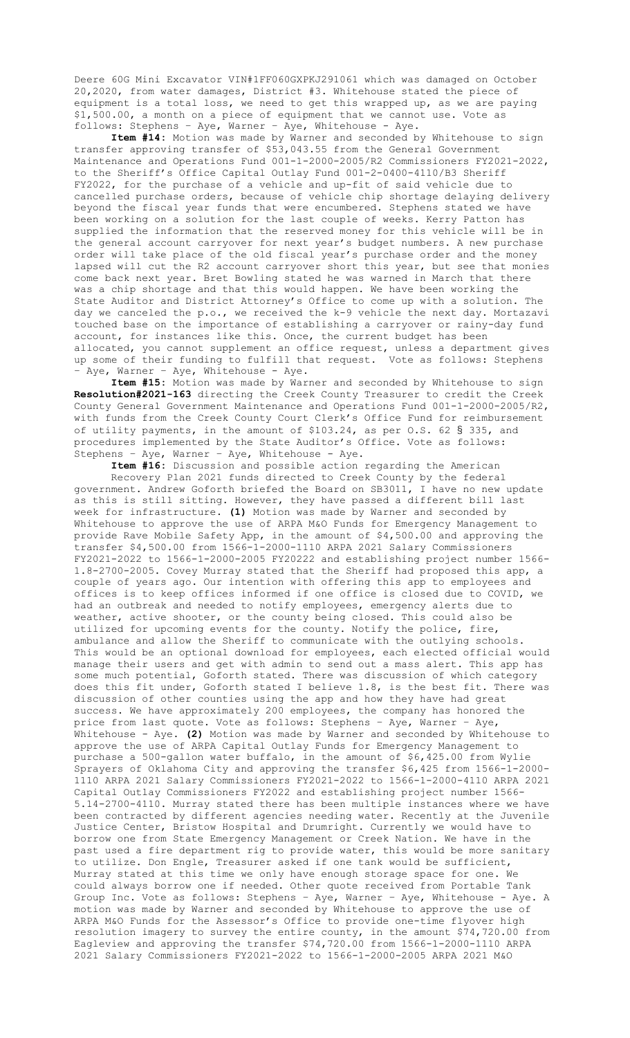Deere 60G Mini Excavator VIN#1FF060GXPKJ291061 which was damaged on October 20,2020, from water damages, District #3. Whitehouse stated the piece of equipment is a total loss, we need to get this wrapped up, as we are paying \$1,500.00, a month on a piece of equipment that we cannot use. Vote as follows: Stephens – Aye, Warner – Aye, Whitehouse - Aye.

**Item #14:** Motion was made by Warner and seconded by Whitehouse to sign transfer approving transfer of \$53,043.55 from the General Government Maintenance and Operations Fund 001-1-2000-2005/R2 Commissioners FY2021-2022, to the Sheriff's Office Capital Outlay Fund 001-2-0400-4110/B3 Sheriff FY2022, for the purchase of a vehicle and up-fit of said vehicle due to cancelled purchase orders, because of vehicle chip shortage delaying delivery beyond the fiscal year funds that were encumbered. Stephens stated we have been working on a solution for the last couple of weeks. Kerry Patton has supplied the information that the reserved money for this vehicle will be in the general account carryover for next year's budget numbers. A new purchase order will take place of the old fiscal year's purchase order and the money lapsed will cut the R2 account carryover short this year, but see that monies come back next year. Bret Bowling stated he was warned in March that there was a chip shortage and that this would happen. We have been working the State Auditor and District Attorney's Office to come up with a solution. The day we canceled the p.o., we received the k-9 vehicle the next day. Mortazavi touched base on the importance of establishing a carryover or rainy-day fund account, for instances like this. Once, the current budget has been allocated, you cannot supplement an office request, unless a department gives up some of their funding to fulfill that request. Vote as follows: Stephens - Aye, Warner - Aye, Whitehouse - Aye.

**Item #15:** Motion was made by Warner and seconded by Whitehouse to sign **Resolution#2021-163** directing the Creek County Treasurer to credit the Creek County General Government Maintenance and Operations Fund 001-1-2000-2005/R2, with funds from the Creek County Court Clerk's Office Fund for reimbursement of utility payments, in the amount of \$103.24, as per O.S. 62 § 335, and procedures implemented by the State Auditor's Office. Vote as follows: Stephens – Aye, Warner – Aye, Whitehouse - Aye.

**Item #16:** Discussion and possible action regarding the American Recovery Plan 2021 funds directed to Creek County by the federal government. Andrew Goforth briefed the Board on SB3011, I have no new update as this is still sitting. However, they have passed a different bill last week for infrastructure. **(1)** Motion was made by Warner and seconded by Whitehouse to approve the use of ARPA M&O Funds for Emergency Management to provide Rave Mobile Safety App, in the amount of \$4,500.00 and approving the transfer \$4,500.00 from 1566-1-2000-1110 ARPA 2021 Salary Commissioners FY2021-2022 to 1566-1-2000-2005 FY20222 and establishing project number 1566- 1.8-2700-2005. Covey Murray stated that the Sheriff had proposed this app, a couple of years ago. Our intention with offering this app to employees and offices is to keep offices informed if one office is closed due to COVID, we had an outbreak and needed to notify employees, emergency alerts due to weather, active shooter, or the county being closed. This could also be utilized for upcoming events for the county. Notify the police, fire, ambulance and allow the Sheriff to communicate with the outlying schools. This would be an optional download for employees, each elected official would manage their users and get with admin to send out a mass alert. This app has some much potential, Goforth stated. There was discussion of which category does this fit under, Goforth stated I believe 1.8, is the best fit. There was discussion of other counties using the app and how they have had great success. We have approximately 200 employees, the company has honored the price from last quote. Vote as follows: Stephens – Aye, Warner – Aye, Whitehouse - Aye. **(2)** Motion was made by Warner and seconded by Whitehouse to approve the use of ARPA Capital Outlay Funds for Emergency Management to purchase a 500-gallon water buffalo, in the amount of \$6,425.00 from Wylie Sprayers of Oklahoma City and approving the transfer \$6,425 from 1566-1-2000- 1110 ARPA 2021 Salary Commissioners FY2021-2022 to 1566-1-2000-4110 ARPA 2021 Capital Outlay Commissioners FY2022 and establishing project number 1566- 5.14-2700-4110. Murray stated there has been multiple instances where we have been contracted by different agencies needing water. Recently at the Juvenile Justice Center, Bristow Hospital and Drumright. Currently we would have to borrow one from State Emergency Management or Creek Nation. We have in the past used a fire department rig to provide water, this would be more sanitary to utilize. Don Engle, Treasurer asked if one tank would be sufficient, Murray stated at this time we only have enough storage space for one. We could always borrow one if needed. Other quote received from Portable Tank Group Inc. Vote as follows: Stephens – Aye, Warner – Aye, Whitehouse - Aye. A motion was made by Warner and seconded by Whitehouse to approve the use of ARPA M&O Funds for the Assessor's Office to provide one-time flyover high resolution imagery to survey the entire county, in the amount \$74,720.00 from Eagleview and approving the transfer \$74,720.00 from 1566-1-2000-1110 ARPA 2021 Salary Commissioners FY2021-2022 to 1566-1-2000-2005 ARPA 2021 M&O